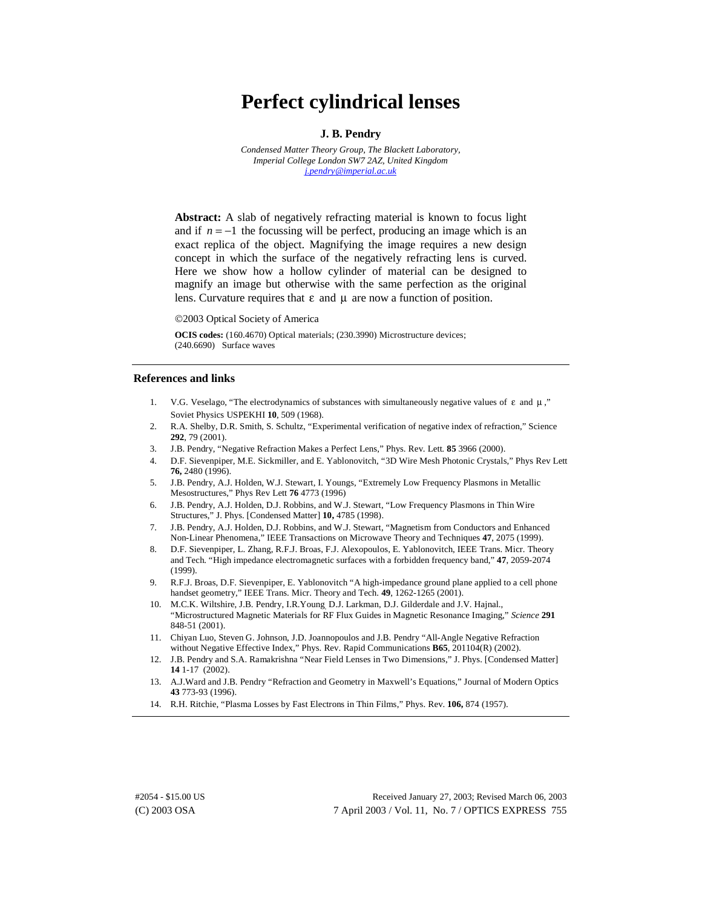# **Perfect cylindrical lenses**

### **J. B. Pendry**

*Condensed Matter Theory Group, The Blackett Laboratory, Imperial College London SW7 2AZ, United Kingdom [j.pendry@imperial.ac.uk](mailto:j.pendry@imperial.ac.uk)*

**Abstract:** A slab of negatively refracting material is known to focus light and if  $n = -1$  the focussing will be perfect, producing an image which is an exact replica of the object. Magnifying the image requires a new design concept in which the surface of the negatively refracting lens is curved. Here we show how a hollow cylinder of material can be designed to magnify an image but otherwise with the same perfection as the original lens. Curvature requires that  $\varepsilon$  and  $\mu$  are now a function of position.

2003 Optical Society of America

**OCIS codes:** (160.4670) Optical materials; (230.3990) Microstructure devices; (240.6690) Surface waves

#### **References and links**

- 1. V.G. Veselago, "The electrodynamics of substances with simultaneously negative values of ε and µ ," Soviet Physics USPEKHI **10**, 509 (1968).
- 2. R.A. Shelby, D.R. Smith, S. Schultz, "Experimental verification of negative index of refraction," Science **292**, 79 (2001).
- 3. J.B. Pendry, "Negative Refraction Makes a Perfect Lens," Phys. Rev. Lett*.* **85** 3966 (2000).
- 4. D.F. Sievenpiper, M.E. Sickmiller, and E. Yablonovitch, "3D Wire Mesh Photonic Crystals," Phys Rev Lett **76,** 2480 (1996).
- 5. J.B. Pendry, A.J. Holden, W.J. Stewart, I. Youngs, "Extremely Low Frequency Plasmons in Metallic Mesostructures," Phys Rev Lett **76** 4773 (1996)
- 6. J.B. Pendry, A.J. Holden, D.J. Robbins, and W.J. Stewart, "Low Frequency Plasmons in Thin Wire Structures," J. Phys. [Condensed Matter] **10,** 4785 (1998).
- 7. J.B. Pendry, A.J. Holden, D.J. Robbins, and W.J. Stewart, "Magnetism from Conductors and Enhanced Non-Linear Phenomena," IEEE Transactions on Microwave Theory and Techniques **47**, 2075 (1999).
- 8. D.F. Sievenpiper, L. Zhang, R.F.J. Broas, F.J. Alexopoulos, E. Yablonovitch, IEEE Trans. Micr. Theory and Tech. "High impedance electromagnetic surfaces with a forbidden frequency band," **47**, 2059-2074 (1999).
- 9. R.F.J. Broas, D.F. Sievenpiper, E. Yablonovitch "A high-impedance ground plane applied to a cell phone handset geometry," IEEE Trans. Micr. Theory and Tech. **49**, 1262-1265 (2001).
- 10. M.C.K. Wiltshire, J.B. Pendry, I.R.Young, D.J. Larkman, D.J. Gilderdale and J.V. Hajnal., "Microstructured Magnetic Materials for RF Flux Guides in Magnetic Resonance Imaging," *Science* **291**  848-51 (2001).
- 11. Chiyan Luo, Steven G. Johnson, J.D. Joannopoulos and J.B. Pendry "All-Angle Negative Refraction without Negative Effective Index," Phys. Rev. Rapid Communications **B65**, 201104(R) (2002).
- 12. J.B. Pendry and S.A. Ramakrishna "Near Field Lenses in Two Dimensions," J. Phys. [Condensed Matter] **14** 1-17 (2002).
- 13. A.J.Ward and J.B. Pendry "Refraction and Geometry in Maxwell's Equations," Journal of Modern Optics **43** 773-93 (1996).
- 14. R.H. Ritchie, "Plasma Losses by Fast Electrons in Thin Films," Phys. Rev. **106,** 874 (1957).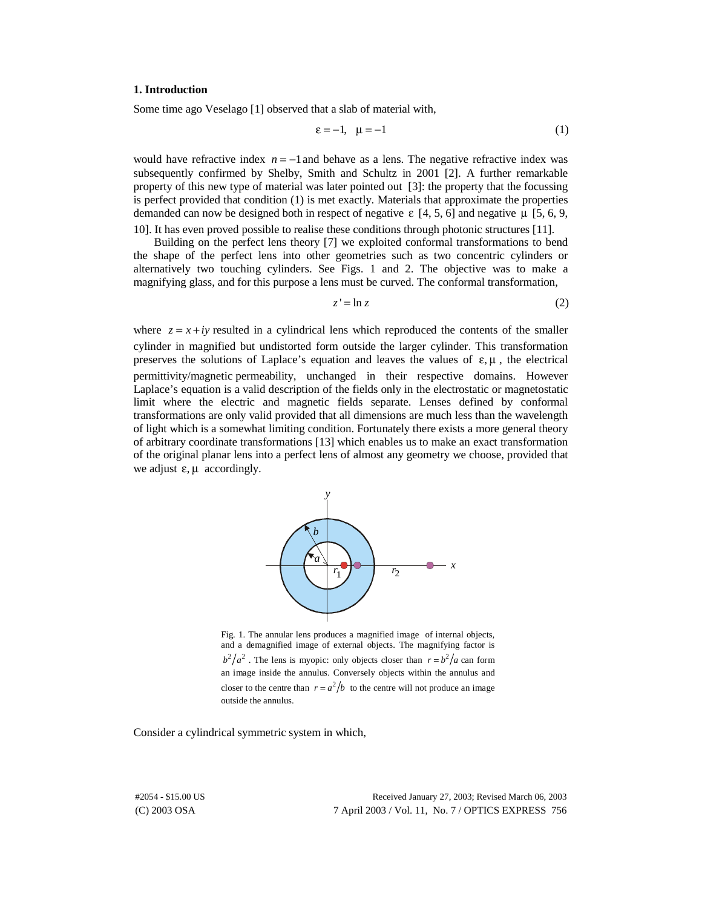## **1. Introduction**

Some time ago Veselago [1] observed that a slab of material with,

$$
\varepsilon = -1, \quad \mu = -1 \tag{1}
$$

would have refractive index  $n = -1$  and behave as a lens. The negative refractive index was subsequently confirmed by Shelby, Smith and Schultz in 2001 [2]. A further remarkable property of this new type of material was later pointed out [3]: the property that the focussing is perfect provided that condition (1) is met exactly. Materials that approximate the properties demanded can now be designed both in respect of negative  $\epsilon$  [4, 5, 6] and negative  $\mu$  [5, 6, 9, 10]. It has even proved possible to realise these conditions through photonic structures [11].

Building on the perfect lens theory [7] we exploited conformal transformations to bend the shape of the perfect lens into other geometries such as two concentric cylinders or alternatively two touching cylinders. See Figs. 1 and 2. The objective was to make a magnifying glass, and for this purpose a lens must be curved. The conformal transformation,

$$
z' = \ln z \tag{2}
$$

where  $z = x + iy$  resulted in a cylindrical lens which reproduced the contents of the smaller cylinder in magnified but undistorted form outside the larger cylinder. This transformation preserves the solutions of Laplace's equation and leaves the values of  $\varepsilon, \mu$ , the electrical permittivity/magnetic permeability, unchanged in their respective domains. However Laplace's equation is a valid description of the fields only in the electrostatic or magnetostatic limit where the electric and magnetic fields separate. Lenses defined by conformal transformations are only valid provided that all dimensions are much less than the wavelength of light which is a somewhat limiting condition. Fortunately there exists a more general theory of arbitrary coordinate transformations [13] which enables us to make an exact transformation of the original planar lens into a perfect lens of almost any geometry we choose, provided that we adjust  $\varepsilon$ ,  $\mu$  accordingly.



Fig. 1. The annular lens produces a magnified image of internal objects, and a demagnified image of external objects. The magnifying factor is  $b^2/a^2$ . The lens is myopic: only objects closer than  $r = b^2/a$  can form an image inside the annulus. Conversely objects within the annulus and closer to the centre than  $r = a^2/b$  to the centre will not produce an image outside the annulus.

Consider a cylindrical symmetric system in which,

(C) 2003 OSA 7 April 2003 / Vol. 11, No. 7 / OPTICS EXPRESS 756 #2054 - \$15.00 US Received January 27, 2003; Revised March 06, 2003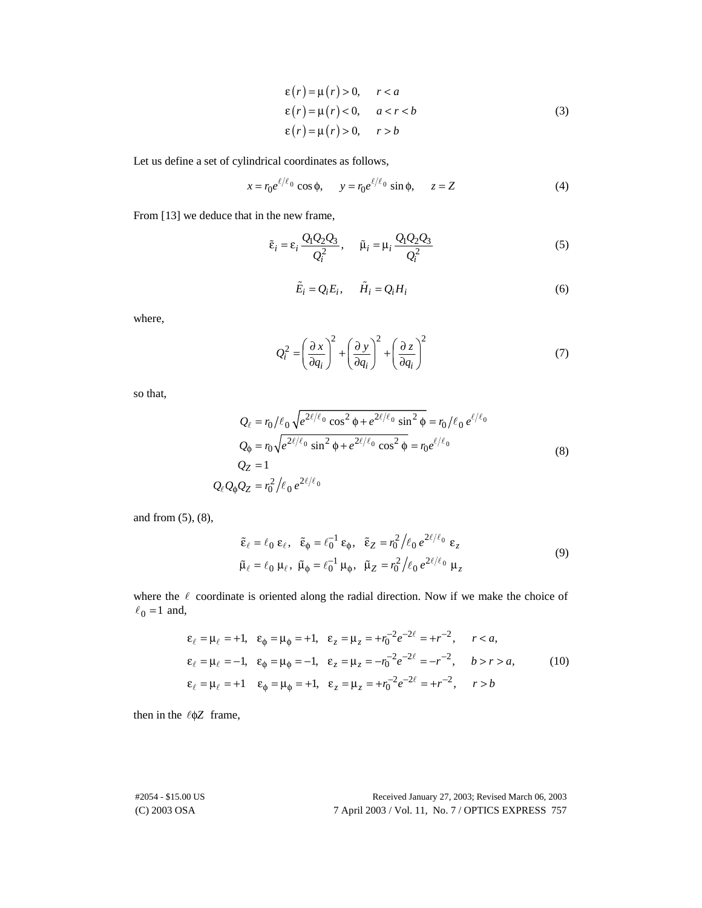$$
\varepsilon(r) = \mu(r) > 0, \quad r < a
$$
  
\n
$$
\varepsilon(r) = \mu(r) < 0, \quad a < r < b
$$
  
\n
$$
\varepsilon(r) = \mu(r) > 0, \quad r > b
$$
 (3)

Let us define a set of cylindrical coordinates as follows,

$$
x = r_0 e^{\ell/\ell_0} \cos \phi, \qquad y = r_0 e^{\ell/\ell_0} \sin \phi, \qquad z = Z \tag{4}
$$

From [13] we deduce that in the new frame,

$$
\tilde{\varepsilon}_i = \varepsilon_i \frac{Q_1 Q_2 Q_3}{Q_i^2}, \qquad \tilde{\mu}_i = \mu_i \frac{Q_1 Q_2 Q_3}{Q_i^2}
$$
\n
$$
\tilde{E}_i = Q_i E_i, \qquad \tilde{H}_i = Q_i H_i
$$
\n(6)

$$
\tilde{E}_i = Q_i E_i, \quad \tilde{H}_i = Q_i H_i \tag{6}
$$

where,

$$
E_i = Q_i E_i, \qquad H_i = Q_i H_i \tag{6}
$$

$$
Q_i^2 = \left(\frac{\partial x}{\partial q_i}\right)^2 + \left(\frac{\partial y}{\partial q_i}\right)^2 + \left(\frac{\partial z}{\partial q_i}\right)^2 \tag{7}
$$

so that,

$$
Q_{\ell} = r_0 / \ell_0 \sqrt{e^{2\ell/\ell_0} \cos^2 \phi + e^{2\ell/\ell_0} \sin^2 \phi} = r_0 / \ell_0 e^{\ell/\ell_0}
$$
  
\n
$$
Q_{\phi} = r_0 \sqrt{e^{2\ell/\ell_0} \sin^2 \phi + e^{2\ell/\ell_0} \cos^2 \phi} = r_0 e^{\ell/\ell_0}
$$
  
\n
$$
Q_Z = 1
$$
  
\n
$$
Q_{\ell} Q_{\phi} Q_Z = r_0^2 / \ell_0 e^{2\ell/\ell_0}
$$
\n(8)

and from (5), (8),

$$
\tilde{\varepsilon}_{\ell} = \ell_0 \, \varepsilon_{\ell}, \quad \tilde{\varepsilon}_{\phi} = \ell_0^{-1} \, \varepsilon_{\phi}, \quad \tilde{\varepsilon}_{Z} = r_0^2 \Big/ \ell_0 \, e^{2\ell/\ell_0} \, \varepsilon_{Z}
$$
\n
$$
\tilde{\mu}_{\ell} = \ell_0 \, \mu_{\ell}, \quad \tilde{\mu}_{\phi} = \ell_0^{-1} \, \mu_{\phi}, \quad \tilde{\mu}_{Z} = r_0^2 \Big/ \ell_0 \, e^{2\ell/\ell_0} \, \mu_{Z}
$$
\n
$$
\vdots \qquad \qquad (9)
$$

where the  $\ell$  coordinate is oriented along the radial direction. Now if we make the choice of  $\ell_0 = 1$  and, 0  $\ell_0 = 1$  and,

$$
\varepsilon_{\ell} = \mu_{\ell} = +1, \quad \varepsilon_{\phi} = \mu_{\phi} = +1, \quad \varepsilon_{z} = \mu_{z} = +r_{0}^{-2}e^{-2\ell} = +r^{-2}, \quad r < a,
$$
\n
$$
\varepsilon_{\ell} = \mu_{\ell} = -1, \quad \varepsilon_{\phi} = \mu_{\phi} = -1, \quad \varepsilon_{z} = \mu_{z} = -r_{0}^{-2}e^{-2\ell} = -r^{-2}, \quad b > r > a,
$$
\n
$$
\varepsilon_{\ell} = \mu_{\ell} = +1 \quad \varepsilon_{\phi} = \mu_{\phi} = +1, \quad \varepsilon_{z} = \mu_{z} = +r_{0}^{-2}e^{-2\ell} = +r^{-2}, \quad r > b
$$
\n(10)

then in the  $\ell$ φZ frame,

(C) 2003 OSA 7 April 2003 / Vol. 11, No. 7 / OPTICS EXPRESS 757 #2054 - \$15.00 US Received January 27, 2003; Revised March 06, 2003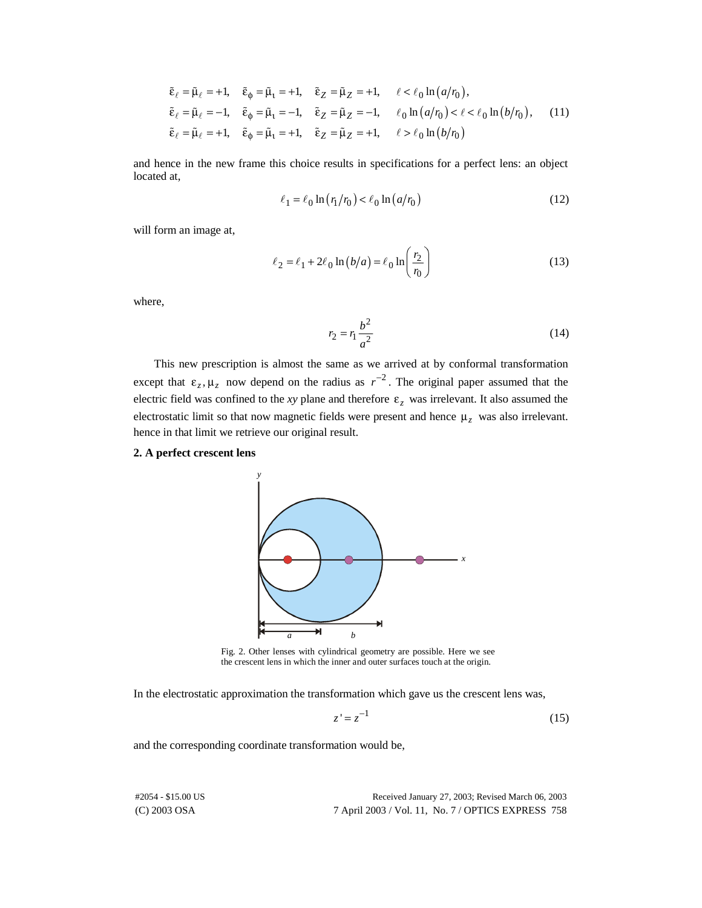$$
\tilde{\varepsilon}_{\ell} = \tilde{\mu}_{\ell} = +1, \quad \tilde{\varepsilon}_{\varphi} = \tilde{\mu}_{1} = +1, \quad \tilde{\varepsilon}_{Z} = \tilde{\mu}_{Z} = +1, \quad \ell < \ell_{0} \ln(a/r_{0}),
$$
\n
$$
\tilde{\varepsilon}_{\ell} = \tilde{\mu}_{\ell} = -1, \quad \tilde{\varepsilon}_{\varphi} = \tilde{\mu}_{1} = -1, \quad \tilde{\varepsilon}_{Z} = \tilde{\mu}_{Z} = -1, \quad \ell_{0} \ln(a/r_{0}) < \ell < \ell_{0} \ln(b/r_{0}), \quad (11)
$$
\n
$$
\tilde{\varepsilon}_{\ell} = \tilde{\mu}_{\ell} = +1, \quad \tilde{\varepsilon}_{\varphi} = \tilde{\mu}_{1} = +1, \quad \tilde{\varepsilon}_{Z} = \tilde{\mu}_{Z} = +1, \quad \ell > \ell_{0} \ln(b/r_{0})
$$
\nsince in the new frame this choice results in specifications for a perfect lens: an object

 $C_{\ell}$   $\mu_{\ell}$  +1,  $C_{\varphi}$   $\mu_{\ell}$  +1,  $C_{\ell}$   $\mu_{\ell}$  +1,  $C_{\ell}$   $\mu_{\ell}$  +1,  $C_{\ell}$   $\mu_{\ell}$  +1,  $C_{\varphi}$   $\mu_{\ell}$  +1,  $C_{\ell}$   $\mu_{\ell}$  +1,  $C_{\ell}$   $\mu_{\ell}$  +1,  $C_{\ell}$   $\mu_{\ell}$  +1,  $C_{\ell}$   $\mu_{\ell}$  +1,  $C_{\ell}$  .<br>1 and hence in the new frame this choice results in specifications for a perfect lens: an object located at,

$$
\ell_1 = \ell_0 \ln \left( r_1 / r_0 \right) < \ell_0 \ln \left( a / r_0 \right) \tag{12}
$$

will form an image at,

$$
\ell_2 = \ell_1 + 2\ell_0 \ln(b/a) = \ell_0 \ln\left(\frac{r_2}{r_0}\right)
$$
\n(13)

where,

$$
r_2 = r_1 \frac{b^2}{a^2} \tag{14}
$$

This new prescription is almost the same as we arrived at by conformal transformation except that  $\varepsilon_z$ ,  $\mu_z$  now depend on the radius as  $r^{-2}$ . The original paper assumed that the electric field was confined to the *xy* plane and therefore  $\varepsilon$ <sub>z</sub> was irrelevant. It also assumed the electrostatic limit so that now magnetic fields were present and hence µ*z* was also irrelevant. hence in that limit we retrieve our original result.

# **2. A perfect crescent lens**



Fig. 2. Other lenses with cylindrical geometry are possible. Here we see the crescent lens in which the inner and outer surfaces touch at the origin.

In the electrostatic approximation the transformation which gave us the crescent lens was,

$$
z' = z^{-1} \tag{15}
$$

and the corresponding coordinate transformation would be,

|  | Received January 27, 2003; Revised March 06, 2003  |  |
|--|----------------------------------------------------|--|
|  | 7 April 2003 / Vol. 11, No. 7 / OPTICS EXPRESS 758 |  |

(C) 2003 OSA #2054 - \$15.00 US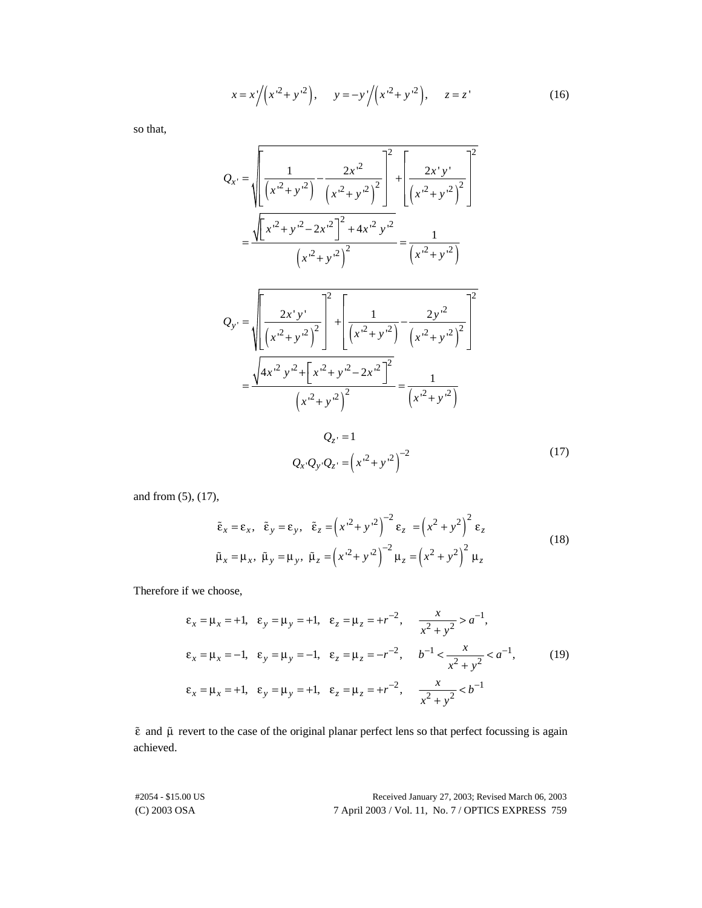$$
x = x'/(x2 + y2), \t y = -y'/(x2 + y2), \t z = z'
$$
\t(16)

so that,

$$
Q_{x} = \sqrt{\left[\frac{1}{\left(x'^{2} + y'^{2}\right)} - \frac{2x'^{2}}{\left(x'^{2} + y'^{2}\right)^{2}}\right]^{2} + \left[\frac{2x'y'}{\left(x'^{2} + y'^{2}\right)^{2}}\right]^{2}}
$$

$$
= \frac{\sqrt{\left[x'^{2} + y'^{2} - 2x'^{2}\right]^{2} + 4x'^{2}y'^{2}}}{\left(x'^{2} + y'^{2}\right)^{2}} = \frac{1}{\left(x'^{2} + y'^{2}\right)}
$$

$$
Q_{y'} = \sqrt{\left[\frac{2x'y'}{\left(x'^2 + y'^2\right)^2}\right]^2 + \left[\frac{1}{\left(x'^2 + y'^2\right)} - \frac{2y'^2}{\left(x'^2 + y'^2\right)^2}\right]^2}
$$

$$
= \frac{\sqrt{4x'^2 y'^2 + \left[x'^2 + y'^2 - 2x'^2\right]^2}}{\left(x'^2 + y'^2\right)^2} = \frac{1}{\left(x'^2 + y'^2\right)}
$$

$$
Q_{z'} = 1
$$

$$
Q_x Q_y Q_z = \left(x'^2 + y'^2\right)^{-2}
$$
(17)

and from (5), (17),

$$
\tilde{\varepsilon}_x = \varepsilon_x, \quad \tilde{\varepsilon}_y = \varepsilon_y, \quad \tilde{\varepsilon}_z = \left(x^2 + y^2\right)^{-2} \varepsilon_z = \left(x^2 + y^2\right)^2 \varepsilon_z
$$
\n
$$
\tilde{\mu}_x = \mu_x, \quad \tilde{\mu}_y = \mu_y, \quad \tilde{\mu}_z = \left(x^2 + y^2\right)^{-2} \mu_z = \left(x^2 + y^2\right)^2 \mu_z
$$
\nthose,

\n(18)

Therefore if we choose,

if we choose,  
\n
$$
\varepsilon_x = \mu_x = +1
$$
,  $\varepsilon_y = \mu_y = +1$ ,  $\varepsilon_z = \mu_z = +r^{-2}$ ,  $\frac{x}{x^2 + y^2} > a^{-1}$ ,  
\n $\varepsilon_x = \mu_x = -1$ ,  $\varepsilon_y = \mu_y = -1$ ,  $\varepsilon_z = \mu_z = -r^{-2}$ ,  $b^{-1} < \frac{x}{x^2 + y^2} < a^{-1}$ , (19)  
\n $\varepsilon_x = \mu_x = +1$ ,  $\varepsilon_y = \mu_y = +1$ ,  $\varepsilon_z = \mu_z = +r^{-2}$ ,  $\frac{x}{x^2 + y^2} < b^{-1}$ 

 $\tilde{\epsilon}$  and  $\tilde{\mu}$  revert to the case of the original planar perfect lens so that perfect focussing is again<br>achieved.<br>#2054 - \$15.00 US Received January 27, 2003; Revised March 06, 2003 achieved.

(C) 2003 OSA 7 April 2003 / Vol. 11, No. 7 / OPTICS EXPRESS 759 #2054 - \$15.00 US Received January 27, 2003; Revised March 06, 2003